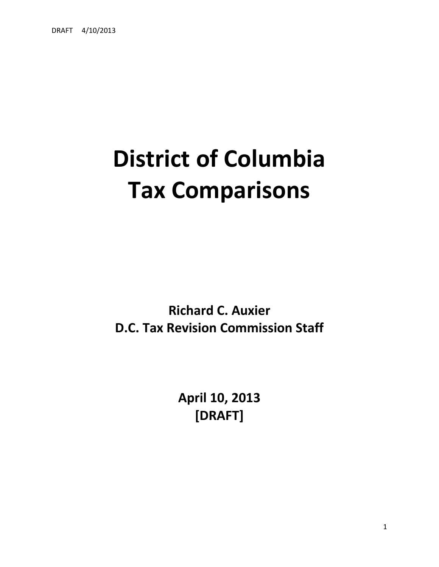# **District of Columbia Tax Comparisons**

**Richard C. Auxier D.C. Tax Revision Commission Staff**

> **April 10, 2013 [DRAFT]**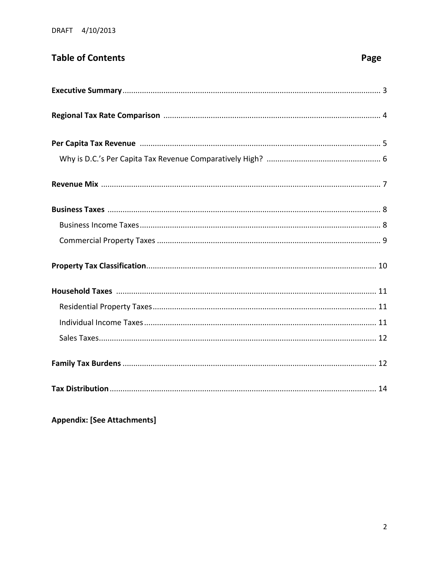# **Table of Contents**

# Page

**Appendix: [See Attachments]**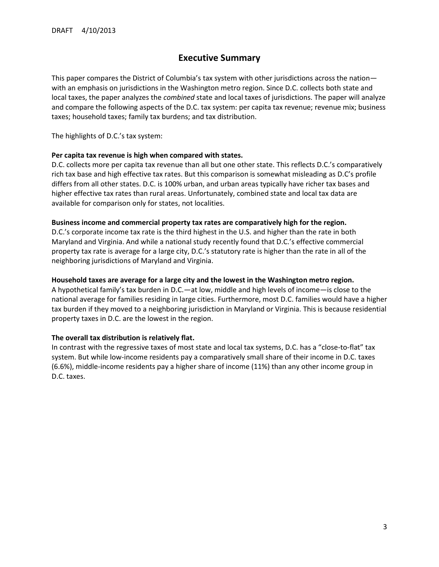#### **Executive Summary**

This paper compares the District of Columbia's tax system with other jurisdictions across the nation with an emphasis on jurisdictions in the Washington metro region. Since D.C. collects both state and local taxes, the paper analyzes the *combined* state and local taxes of jurisdictions. The paper will analyze and compare the following aspects of the D.C. tax system: per capita tax revenue; revenue mix; business taxes; household taxes; family tax burdens; and tax distribution.

The highlights of D.C.'s tax system:

#### **Per capita tax revenue is high when compared with states.**

D.C. collects more per capita tax revenue than all but one other state. This reflects D.C.'s comparatively rich tax base and high effective tax rates. But this comparison is somewhat misleading as D.C's profile differs from all other states. D.C. is 100% urban, and urban areas typically have richer tax bases and higher effective tax rates than rural areas. Unfortunately, combined state and local tax data are available for comparison only for states, not localities.

#### **Business income and commercial property tax rates are comparatively high for the region.**

D.C.'s corporate income tax rate is the third highest in the U.S. and higher than the rate in both Maryland and Virginia. And while a national study recently found that D.C.'s effective commercial property tax rate is average for a large city, D.C.'s statutory rate is higher than the rate in all of the neighboring jurisdictions of Maryland and Virginia.

#### **Household taxes are average for a large city and the lowest in the Washington metro region.**

A hypothetical family's tax burden in D.C.—at low, middle and high levels of income—is close to the national average for families residing in large cities. Furthermore, most D.C. families would have a higher tax burden if they moved to a neighboring jurisdiction in Maryland or Virginia. This is because residential property taxes in D.C. are the lowest in the region.

#### **The overall tax distribution is relatively flat.**

In contrast with the regressive taxes of most state and local tax systems, D.C. has a "close-to-flat" tax system. But while low-income residents pay a comparatively small share of their income in D.C. taxes (6.6%), middle-income residents pay a higher share of income (11%) than any other income group in D.C. taxes.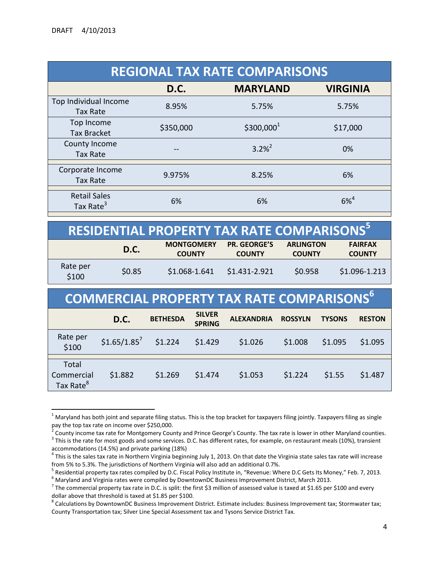l

| <b>REGIONAL TAX RATE COMPARISONS</b>         |           |                 |                 |  |  |  |
|----------------------------------------------|-----------|-----------------|-----------------|--|--|--|
|                                              | D.C.      | <b>MARYLAND</b> | <b>VIRGINIA</b> |  |  |  |
| Top Individual Income<br><b>Tax Rate</b>     | 8.95%     | 5.75%           | 5.75%           |  |  |  |
| Top Income<br><b>Tax Bracket</b>             | \$350,000 | $$300,000^1$    | \$17,000        |  |  |  |
| County Income<br><b>Tax Rate</b>             |           | $3.2\%^{2}$     | 0%              |  |  |  |
| Corporate Income<br><b>Tax Rate</b>          | 9.975%    | 8.25%           | 6%              |  |  |  |
| <b>Retail Sales</b><br>Tax Rate <sup>3</sup> | 6%        | 6%              | $6\%^{4}$       |  |  |  |

|                   |             | RESIDENTIAL PROPERTY TAX RATE COMPARISONS <sup>51</sup> |                                      |                                   |                                 |
|-------------------|-------------|---------------------------------------------------------|--------------------------------------|-----------------------------------|---------------------------------|
|                   | <b>D.C.</b> | <b>MONTGOMERY</b><br><b>COUNTY</b>                      | <b>PR. GEORGE'S</b><br><b>COUNTY</b> | <b>ARLINGTON</b><br><b>COUNTY</b> | <b>FAIRFAX</b><br><b>COUNTY</b> |
| Rate per<br>\$100 | \$0.85      | \$1.068-1.641                                           | \$1.431-2.921                        | \$0.958                           | \$1.096-1.213                   |

| <b>COMMERCIAL PROPERTY TAX RATE COMPARISONS</b> <sup>6</sup> |                           |                 |                                |                   |                |               |               |  |
|--------------------------------------------------------------|---------------------------|-----------------|--------------------------------|-------------------|----------------|---------------|---------------|--|
|                                                              | D.C.                      | <b>BETHESDA</b> | <b>SILVER</b><br><b>SPRING</b> | <b>ALEXANDRIA</b> | <b>ROSSYLN</b> | <b>TYSONS</b> | <b>RESTON</b> |  |
| Rate per<br>\$100                                            | $$1.65/1.85$ <sup>7</sup> | \$1.224         | \$1.429                        | \$1.026           | \$1.008        | \$1.095       | \$1.095       |  |
| Total<br>Commercial<br>Tax Rate <sup>8</sup>                 | \$1.882                   | \$1.269         | \$1.474                        | \$1.053           | \$1.224        | \$1.55        | \$1.487       |  |

 $1$  Maryland has both joint and separate filing status. This is the top bracket for taxpayers filing jointly. Taxpayers filing as single

pay the top tax rate on income over \$250,000.<br><sup>2</sup> County income tax rate for Montgomery County and Prince George's County. The tax rate is lower in other Maryland counties.

 $3$  This is the rate for most goods and some services. D.C. has different rates, for example, on restaurant meals (10%), transient

accommodations (14.5%) and private parking (18%)<br><sup>4</sup> This is the sales tax rate in Northern Virginia beginning July 1, 2013. On that date the Virginia state sales tax rate will increase from 5% to 5.3%. The jurisdictions of Northern Virginia will also add an additional 0.7%.

<sup>&</sup>lt;sup>5</sup> Residential property tax rates compiled by D.C. Fiscal Policy Institute in, "Revenue: Where D.C Gets Its Money," Feb. 7, 2013.  $^6$  Maryland and Virginia rates were compiled by DowntownDC Business Improvement District, March 2013.

<sup>&</sup>lt;sup>7</sup> The commercial property tax rate in D.C. is split: the first \$3 million of assessed value is taxed at \$1.65 per \$100 and every dollar above that threshold is taxed at \$1.85 per \$100.

 $^8$  Calculations by DowntownDC Business Improvement District. Estimate includes: Business Improvement tax; Stormwater tax; County Transportation tax; Silver Line Special Assessment tax and Tysons Service District Tax.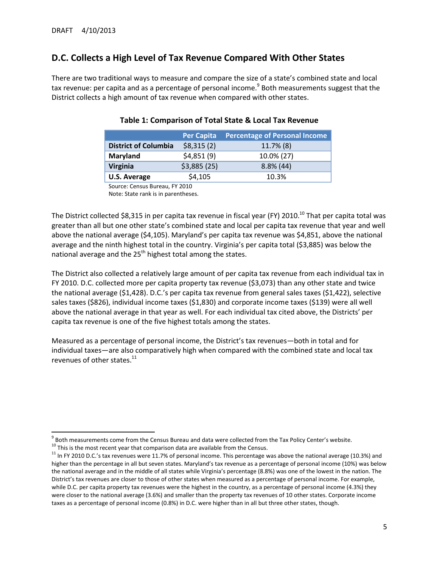## **D.C. Collects a High Level of Tax Revenue Compared With Other States**

There are two traditional ways to measure and compare the size of a state's combined state and local tax revenue: per capita and as a percentage of personal income.<sup>9</sup> Both measurements suggest that the District collects a high amount of tax revenue when compared with other states.

|                             | <b>Per Capita</b> | <b>Percentage of Personal Income</b> |
|-----------------------------|-------------------|--------------------------------------|
| <b>District of Columbia</b> | \$8,315(2)        | 11.7% (8)                            |
| Maryland                    | \$4,851(9)        | 10.0% (27)                           |
| Virginia                    | \$3,885(25)       | $8.8\%$ (44)                         |
| <b>U.S. Average</b>         | \$4,105           | 10.3%                                |
|                             |                   |                                      |

#### **Table 1: Comparison of Total State & Local Tax Revenue**

Source: Census Bureau, FY 2010 Note: State rank is in parentheses.

The District collected \$8,315 in per capita tax revenue in fiscal year (FY) 2010.<sup>10</sup> That per capita total was greater than all but one other state's combined state and local per capita tax revenue that year and well above the national average (\$4,105). Maryland's per capita tax revenue was \$4,851, above the national average and the ninth highest total in the country. Virginia's per capita total (\$3,885) was below the national average and the  $25<sup>th</sup>$  highest total among the states.

The District also collected a relatively large amount of per capita tax revenue from each individual tax in FY 2010. D.C. collected more per capita property tax revenue (\$3,073) than any other state and twice the national average (\$1,428). D.C.'s per capita tax revenue from general sales taxes (\$1,422), selective sales taxes (\$826), individual income taxes (\$1,830) and corporate income taxes (\$139) were all well above the national average in that year as well. For each individual tax cited above, the Districts' per capita tax revenue is one of the five highest totals among the states.

Measured as a percentage of personal income, the District's tax revenues—both in total and for individual taxes—are also comparatively high when compared with the combined state and local tax revenues of other states.<sup>11</sup>

 $\overline{\phantom{a}}$ 

 $^9$  Both measurements come from the Census Bureau and data were collected from the Tax Policy Center's website.

 $10$  This is the most recent year that comparison data are available from the Census.

 $11$  In FY 2010 D.C.'s tax revenues were 11.7% of personal income. This percentage was above the national average (10.3%) and higher than the percentage in all but seven states. Maryland's tax revenue as a percentage of personal income (10%) was below the national average and in the middle of all states while Virginia's percentage (8.8%) was one of the lowest in the nation. The District's tax revenues are closer to those of other states when measured as a percentage of personal income. For example, while D.C. per capita property tax revenues were the highest in the country, as a percentage of personal income (4.3%) they were closer to the national average (3.6%) and smaller than the property tax revenues of 10 other states. Corporate income taxes as a percentage of personal income (0.8%) in D.C. were higher than in all but three other states, though.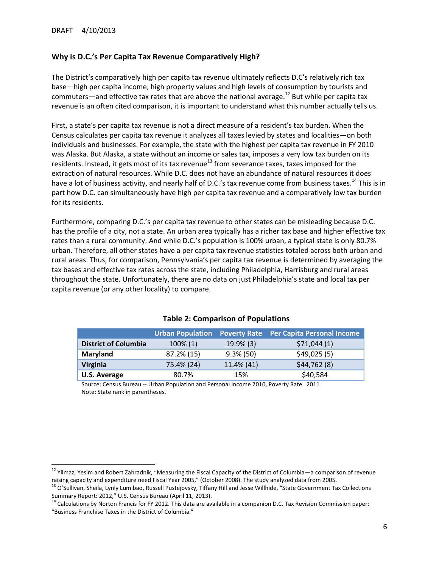$\overline{\phantom{a}}$ 

#### **Why is D.C.'s Per Capita Tax Revenue Comparatively High?**

The District's comparatively high per capita tax revenue ultimately reflects D.C's relatively rich tax base—high per capita income, high property values and high levels of consumption by tourists and commuters—and effective tax rates that are above the national average.<sup>12</sup> But while per capita tax revenue is an often cited comparison, it is important to understand what this number actually tells us.

First, a state's per capita tax revenue is not a direct measure of a resident's tax burden. When the Census calculates per capita tax revenue it analyzes all taxes levied by states and localities—on both individuals and businesses. For example, the state with the highest per capita tax revenue in FY 2010 was Alaska. But Alaska, a state without an income or sales tax, imposes a very low tax burden on its residents. Instead, it gets most of its tax revenue<sup>13</sup> from severance taxes, taxes imposed for the extraction of natural resources. While D.C. does not have an abundance of natural resources it does have a lot of business activity, and nearly half of D.C.'s tax revenue come from business taxes.<sup>14</sup> This is in part how D.C. can simultaneously have high per capita tax revenue and a comparatively low tax burden for its residents.

Furthermore, comparing D.C.'s per capita tax revenue to other states can be misleading because D.C. has the profile of a city, not a state. An urban area typically has a richer tax base and higher effective tax rates than a rural community. And while D.C.'s population is 100% urban, a typical state is only 80.7% urban. Therefore, all other states have a per capita tax revenue statistics totaled across both urban and rural areas. Thus, for comparison, Pennsylvania's per capita tax revenue is determined by averaging the tax bases and effective tax rates across the state, including Philadelphia, Harrisburg and rural areas throughout the state. Unfortunately, there are no data on just Philadelphia's state and local tax per capita revenue (or any other locality) to compare.

|                             | <b>Urban Population</b> |              | <b>Poverty Rate</b> Per Capita Personal Income |
|-----------------------------|-------------------------|--------------|------------------------------------------------|
| <b>District of Columbia</b> | $100\%$ (1)             | $19.9\%$ (3) | \$71,044(1)                                    |
| Maryland                    | 87.2% (15)              | $9.3\%$ (50) | \$49,025(5)                                    |
| <b>Virginia</b>             | 75.4% (24)              | 11.4% (41)   | \$44,762(8)                                    |
| <b>U.S. Average</b>         | 80.7%                   | 15%          | \$40,584                                       |

#### **Table 2: Comparison of Populations**

Source: Census Bureau -- Urban Population and Personal Income 2010, Poverty Rate 2011 Note: State rank in parentheses.

<sup>&</sup>lt;sup>12</sup> Yilmaz, Yesim and Robert Zahradnik, "Measuring the Fiscal Capacity of the District of Columbia—a comparison of revenue raising capacity and expenditure need Fiscal Year 2005," (October 2008). The study analyzed data from 2005.

<sup>&</sup>lt;sup>13</sup> O'Sullivan, Sheila, Lynly Lumibao, Russell Pustejovsky, Tiffany Hill and Jesse Willhide, "State Government Tax Collections Summary Report: 2012," U.S. Census Bureau (April 11, 2013).

<sup>&</sup>lt;sup>14</sup> Calculations by Norton Francis for FY 2012. This data are available in a companion D.C. Tax Revision Commission paper: "Business Franchise Taxes in the District of Columbia."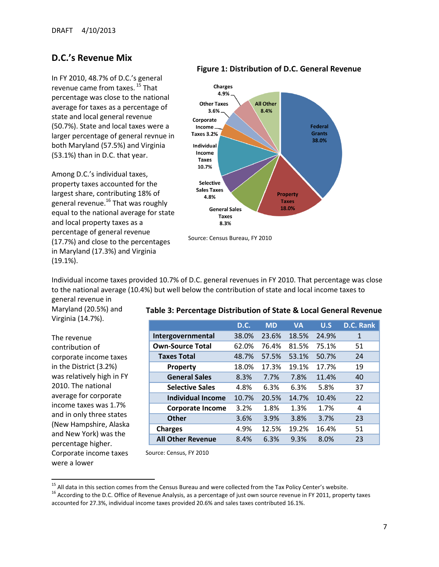#### **D.C.'s Revenue Mix**

In FY 2010, 48.7% of D.C.'s general revenue came from taxes.<sup>15</sup> That percentage was close to the national average for taxes as a percentage of state and local general revenue (50.7%). State and local taxes were a larger percentage of general revnue in both Maryland (57.5%) and Virginia (53.1%) than in D.C. that year.

Among D.C.'s individual taxes, property taxes accounted for the largest share, contributing 18% of general revenue.<sup>16</sup> That was roughly equal to the national average for state and local property taxes as a percentage of general revenue (17.7%) and close to the percentages in Maryland (17.3%) and Virginia (19.1%).

#### **Figure 1: Distribution of D.C. General Revenue**



Individual income taxes provided 10.7% of D.C. general revenues in FY 2010. That percentage was close to the national average (10.4%) but well below the contribution of state and local income taxes to general revenue in

Maryland (20.5%) and Virginia (14.7%).

The revenue contribution of corporate income taxes in the District (3.2%) was relatively high in FY 2010. The national average for corporate income taxes was 1.7% and in only three states (New Hampshire, Alaska and New York) was the percentage higher. Corporate income taxes were a lower

 $\overline{\phantom{a}}$ 

# **Table 3: Percentage Distribution of State & Local General Revenue**

|                          | <b>D.C.</b> | <b>MD</b> | <b>VA</b> | U.S   | <b>D.C. Rank</b> |
|--------------------------|-------------|-----------|-----------|-------|------------------|
| Intergovernmental        | 38.0%       | 23.6%     | 18.5%     | 24.9% | 1                |
| <b>Own-Source Total</b>  | 62.0%       | 76.4%     | 81.5%     | 75.1% | 51               |
| <b>Taxes Total</b>       | 48.7%       | 57.5%     | 53.1%     | 50.7% | 24               |
| <b>Property</b>          | 18.0%       | 17.3%     | 19.1%     | 17.7% | 19               |
| <b>General Sales</b>     | 8.3%        | 7.7%      | 7.8%      | 11.4% | 40               |
| <b>Selective Sales</b>   | 4.8%        | 6.3%      | 6.3%      | 5.8%  | 37               |
| <b>Individual Income</b> | 10.7%       | 20.5%     | 14.7%     | 10.4% | 22               |
| <b>Corporate Income</b>  | 3.2%        | 1.8%      | 1.3%      | 1.7%  | 4                |
| <b>Other</b>             | 3.6%        | 3.9%      | 3.8%      | 3.7%  | 23               |
| <b>Charges</b>           | 4.9%        | 12.5%     | 19.2%     | 16.4% | 51               |
| <b>All Other Revenue</b> | 8.4%        | 6.3%      | 9.3%      | 8.0%  | 23               |

Source: Census, FY 2010

<sup>&</sup>lt;sup>15</sup> All data in this section comes from the Census Bureau and were collected from the Tax Policy Center's website.

<sup>&</sup>lt;sup>16</sup> According to the D.C. Office of Revenue Analysis, as a percentage of just own source revenue in FY 2011, property taxes accounted for 27.3%, individual income taxes provided 20.6% and sales taxes contributed 16.1%.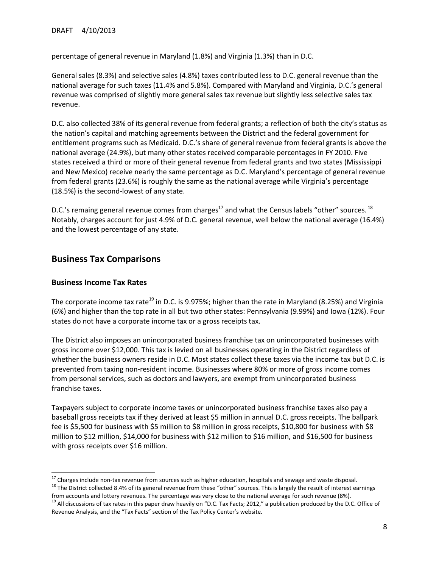percentage of general revenue in Maryland (1.8%) and Virginia (1.3%) than in D.C.

General sales (8.3%) and selective sales (4.8%) taxes contributed less to D.C. general revenue than the national average for such taxes (11.4% and 5.8%). Compared with Maryland and Virginia, D.C.'s general revenue was comprised of slightly more general sales tax revenue but slightly less selective sales tax revenue.

D.C. also collected 38% of its general revenue from federal grants; a reflection of both the city's status as the nation's capital and matching agreements between the District and the federal government for entitlement programs such as Medicaid. D.C.'s share of general revenue from federal grants is above the national average (24.9%), but many other states received comparable percentages in FY 2010. Five states received a third or more of their general revenue from federal grants and two states (Mississippi and New Mexico) receive nearly the same percentage as D.C. Maryland's percentage of general revenue from federal grants (23.6%) is roughly the same as the national average while Virginia's percentage (18.5%) is the second-lowest of any state.

D.C.'s remaing general revenue comes from charges<sup>17</sup> and what the Census labels "other" sources.  $^{18}$ Notably, charges account for just 4.9% of D.C. general revenue, well below the national average (16.4%) and the lowest percentage of any state.

#### **Business Tax Comparisons**

#### **Business Income Tax Rates**

 $\overline{\phantom{a}}$ 

The corporate income tax rate<sup>19</sup> in D.C. is 9.975%; higher than the rate in Maryland (8.25%) and Virginia (6%) and higher than the top rate in all but two other states: Pennsylvania (9.99%) and Iowa (12%). Four states do not have a corporate income tax or a gross receipts tax.

The District also imposes an unincorporated business franchise tax on unincorporated businesses with gross income over \$12,000. This tax is levied on all businesses operating in the District regardless of whether the business owners reside in D.C. Most states collect these taxes via the income tax but D.C. is prevented from taxing non-resident income. Businesses where 80% or more of gross income comes from personal services, such as doctors and lawyers, are exempt from unincorporated business franchise taxes.

Taxpayers subject to corporate income taxes or unincorporated business franchise taxes also pay a baseball gross receipts tax if they derived at least \$5 million in annual D.C. gross receipts. The ballpark fee is \$5,500 for business with \$5 million to \$8 million in gross receipts, \$10,800 for business with \$8 million to \$12 million, \$14,000 for business with \$12 million to \$16 million, and \$16,500 for business with gross receipts over \$16 million.

 $18$  The District collected 8.4% of its general revenue from these "other" sources. This is largely the result of interest earnings from accounts and lottery revenues. The percentage was very close to the national average for such revenue (8%).

 $17$  Charges include non-tax revenue from sources such as higher education, hospitals and sewage and waste disposal.

<sup>&</sup>lt;sup>19</sup> All discussions of tax rates in this paper draw heavily on "D.C. Tax Facts; 2012," a publication produced by the D.C. Office of Revenue Analysis, and the "Tax Facts" section of the Tax Policy Center's website.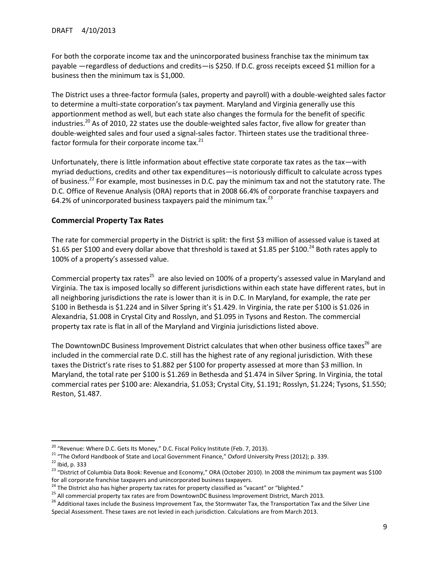For both the corporate income tax and the unincorporated business franchise tax the minimum tax payable —regardless of deductions and credits—is \$250. If D.C. gross receipts exceed \$1 million for a business then the minimum tax is \$1,000.

The District uses a three-factor formula (sales, property and payroll) with a double-weighted sales factor to determine a multi-state corporation's tax payment. Maryland and Virginia generally use this apportionment method as well, but each state also changes the formula for the benefit of specific industries.<sup>20</sup> As of 2010, 22 states use the double-weighted sales factor, five allow for greater than double-weighted sales and four used a signal-sales factor. Thirteen states use the traditional threefactor formula for their corporate income tax. $^{21}$ 

Unfortunately, there is little information about effective state corporate tax rates as the tax—with myriad deductions, credits and other tax expenditures—is notoriously difficult to calculate across types of business.<sup>22</sup> For example, most businesses in D.C. pay the minimum tax and not the statutory rate. The D.C. Office of Revenue Analysis (ORA) reports that in 2008 66.4% of corporate franchise taxpayers and 64.2% of unincorporated business taxpayers paid the minimum tax. $^{23}$ 

#### **Commercial Property Tax Rates**

 $\overline{\phantom{a}}$ 

The rate for commercial property in the District is split: the first \$3 million of assessed value is taxed at \$1.65 per \$100 and every dollar above that threshold is taxed at \$1.85 per \$100.<sup>24</sup> Both rates apply to 100% of a property's assessed value.

Commercial property tax rates<sup>25</sup> are also levied on 100% of a property's assessed value in Maryland and Virginia. The tax is imposed locally so different jurisdictions within each state have different rates, but in all neighboring jurisdictions the rate is lower than it is in D.C. In Maryland, for example, the rate per \$100 in Bethesda is \$1.224 and in Silver Spring it's \$1.429. In Virginia, the rate per \$100 is \$1.026 in Alexandria, \$1.008 in Crystal City and Rosslyn, and \$1.095 in Tysons and Reston. The commercial property tax rate is flat in all of the Maryland and Virginia jurisdictions listed above.

The DowntownDC Business Improvement District calculates that when other business office taxes<sup>26</sup> are included in the commercial rate D.C. still has the highest rate of any regional jurisdiction. With these taxes the District's rate rises to \$1.882 per \$100 for property assessed at more than \$3 million. In Maryland, the total rate per \$100 is \$1.269 in Bethesda and \$1.474 in Silver Spring. In Virginia, the total commercial rates per \$100 are: Alexandria, \$1.053; Crystal City, \$1.191; Rosslyn, \$1.224; Tysons, \$1.550; Reston, \$1.487.

<sup>&</sup>lt;sup>20</sup> "Revenue: Where D.C. Gets Its Money," D.C. Fiscal Policy Institute (Feb. 7, 2013).

<sup>&</sup>lt;sup>21</sup> "The Oxford Handbook of State and Local Government Finance," Oxford University Press (2012); p. 339.  $22$  Ibid, p. 333

<sup>&</sup>lt;sup>23</sup> "District of Columbia Data Book: Revenue and Economy," ORA (October 2010). In 2008 the minimum tax payment was \$100 for all corporate franchise taxpayers and unincorporated business taxpayers.

<sup>&</sup>lt;sup>24</sup> The District also has higher property tax rates for property classified as "vacant" or "blighted."

<sup>&</sup>lt;sup>25</sup> All commercial property tax rates are from DowntownDC Business Improvement District, March 2013.

<sup>&</sup>lt;sup>26</sup> Additional taxes include the Business Improvement Tax, the Stormwater Tax, the Transportation Tax and the Silver Line Special Assessment. These taxes are not levied in each jurisdiction. Calculations are from March 2013.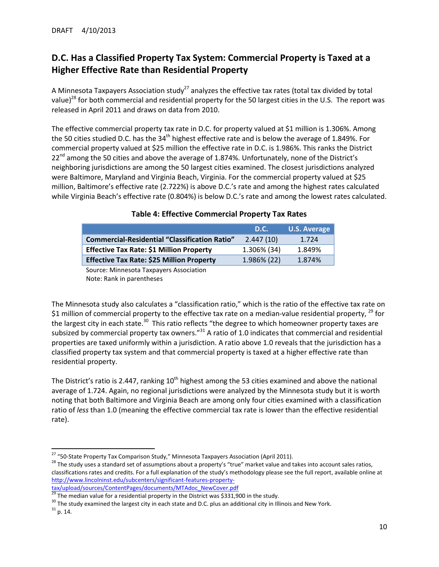# **D.C. Has a Classified Property Tax System: Commercial Property is Taxed at a Higher Effective Rate than Residential Property**

A Minnesota Taxpayers Association study<sup>27</sup> analyzes the effective tax rates (total tax divided by total value)<sup>28</sup> for both commercial and residential property for the 50 largest cities in the U.S. The report was released in April 2011 and draws on data from 2010.

The effective commercial property tax rate in D.C. for property valued at \$1 million is 1.306%. Among the 50 cities studied D.C. has the  $34<sup>th</sup>$  highest effective rate and is below the average of 1.849%. For commercial property valued at \$25 million the effective rate in D.C. is 1.986%. This ranks the District 22<sup>nd</sup> among the 50 cities and above the average of 1.874%. Unfortunately, none of the District's neighboring jurisdictions are among the 50 largest cities examined. The closest jurisdictions analyzed were Baltimore, Maryland and Virginia Beach, Virginia. For the commercial property valued at \$25 million, Baltimore's effective rate (2.722%) is above D.C.'s rate and among the highest rates calculated while Virginia Beach's effective rate (0.804%) is below D.C.'s rate and among the lowest rates calculated.

|                                                      | D.C.        | <b>U.S. Average</b> |
|------------------------------------------------------|-------------|---------------------|
| <b>Commercial-Residential "Classification Ratio"</b> | 2.447(10)   | 1.724               |
| <b>Effective Tax Rate: \$1 Million Property</b>      | 1.306% (34) | 1.849%              |
| <b>Effective Tax Rate: \$25 Million Property</b>     | 1.986% (22) | 1.874%              |

#### **Table 4: Effective Commercial Property Tax Rates**

Source: Minnesota Taxpayers Association Note: Rank in parentheses

The Minnesota study also calculates a "classification ratio," which is the ratio of the effective tax rate on \$1 million of commercial property to the effective tax rate on a median-value residential property,  $^{29}$  for the largest city in each state.<sup>30</sup> This ratio reflects "the degree to which homeowner property taxes are subsized by commercial property tax owners."<sup>31</sup> A ratio of 1.0 indicates that commercial and residential properties are taxed uniformly within a jurisdiction. A ratio above 1.0 reveals that the jurisdiction has a classified property tax system and that commercial property is taxed at a higher effective rate than residential property.

The District's ratio is 2.447, ranking  $10<sup>th</sup>$  highest among the 53 cities examined and above the national average of 1.724. Again, no regional jurisdictions were analyzed by the Minnesota study but it is worth noting that both Baltimore and Virginia Beach are among only four cities examined with a classification ratio of *less* than 1.0 (meaning the effective commercial tax rate is lower than the effective residential rate).

 $\overline{a}$ <sup>27</sup> "50-State Property Tax Comparison Study," Minnesota Taxpayers Association (April 2011).

<sup>&</sup>lt;sup>28</sup> The study uses a standard set of assumptions about a property's "true" market value and takes into account sales ratios, classifications rates and credits. For a full explanation of the study's methodology please see the full report, available online at [http://www.lincolninst.edu/subcenters/significant-features-property](http://www.lincolninst.edu/subcenters/significant-features-property-tax/upload/sources/ContentPages/documents/MTAdoc_NewCover.pdf)[tax/upload/sources/ContentPages/documents/MTAdoc\\_NewCover.pdf](http://www.lincolninst.edu/subcenters/significant-features-property-tax/upload/sources/ContentPages/documents/MTAdoc_NewCover.pdf)<br>29 The medium

The median value for a residential property in the District was \$331,900 in the study.

<sup>&</sup>lt;sup>30</sup> The study examined the largest city in each state and D.C. plus an additional city in Illinois and New York.

 $31$  p. 14.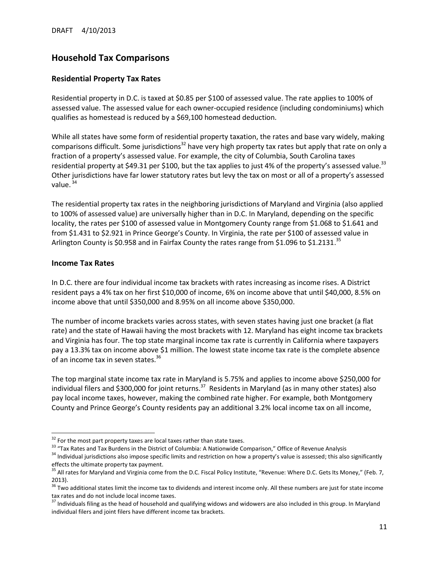# **Household Tax Comparisons**

#### **Residential Property Tax Rates**

Residential property in D.C. is taxed at \$0.85 per \$100 of assessed value. The rate applies to 100% of assessed value. The assessed value for each owner-occupied residence (including condominiums) which qualifies as homestead is reduced by a \$69,100 homestead deduction.

While all states have some form of residential property taxation, the rates and base vary widely, making comparisons difficult. Some jurisdictions<sup>32</sup> have very high property tax rates but apply that rate on only a fraction of a property's assessed value. For example, the city of Columbia, South Carolina taxes residential property at \$49.31 per \$100, but the tax applies to just 4% of the property's assessed value.<sup>33</sup> Other jurisdictions have far lower statutory rates but levy the tax on most or all of a property's assessed value. $34$ 

The residential property tax rates in the neighboring jurisdictions of Maryland and Virginia (also applied to 100% of assessed value) are universally higher than in D.C. In Maryland, depending on the specific locality, the rates per \$100 of assessed value in Montgomery County range from \$1.068 to \$1.641 and from \$1.431 to \$2.921 in Prince George's County. In Virginia, the rate per \$100 of assessed value in Arlington County is \$0.958 and in Fairfax County the rates range from \$1.096 to \$1.2131.<sup>35</sup>

#### **Income Tax Rates**

 $\overline{\phantom{a}}$ 

In D.C. there are four individual income tax brackets with rates increasing as income rises. A District resident pays a 4% tax on her first \$10,000 of income, 6% on income above that until \$40,000, 8.5% on income above that until \$350,000 and 8.95% on all income above \$350,000.

The number of income brackets varies across states, with seven states having just one bracket (a flat rate) and the state of Hawaii having the most brackets with 12. Maryland has eight income tax brackets and Virginia has four. The top state marginal income tax rate is currently in California where taxpayers pay a 13.3% tax on income above \$1 million. The lowest state income tax rate is the complete absence of an income tax in seven states.<sup>36</sup>

The top marginal state income tax rate in Maryland is 5.75% and applies to income above \$250,000 for individual filers and \$300,000 for joint returns.<sup>37</sup> Residents in Maryland (as in many other states) also pay local income taxes, however, making the combined rate higher. For example, both Montgomery County and Prince George's County residents pay an additional 3.2% local income tax on all income,

 $32$  For the most part property taxes are local taxes rather than state taxes.

<sup>&</sup>lt;sup>33</sup> "Tax Rates and Tax Burdens in the District of Columbia: A Nationwide Comparison," Office of Revenue Analysis

<sup>&</sup>lt;sup>34</sup> Individual jurisdictions also impose specific limits and restriction on how a property's value is assessed; this also significantly effects the ultimate property tax payment.

<sup>&</sup>lt;sup>35</sup> All rates for Maryland and Virginia come from the D.C. Fiscal Policy Institute, "Revenue: Where D.C. Gets Its Money," (Feb. 7, 2013).

 $36$  Two additional states limit the income tax to dividends and interest income only. All these numbers are just for state income tax rates and do not include local income taxes.

<sup>&</sup>lt;sup>37</sup> Individuals filing as the head of household and qualifying widows and widowers are also included in this group. In Maryland individual filers and joint filers have different income tax brackets.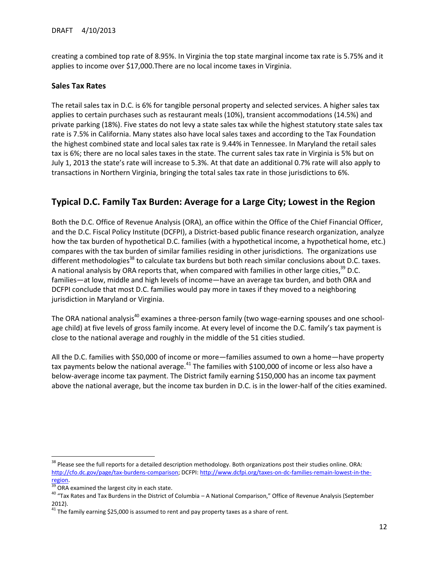creating a combined top rate of 8.95%. In Virginia the top state marginal income tax rate is 5.75% and it applies to income over \$17,000.There are no local income taxes in Virginia.

#### **Sales Tax Rates**

The retail sales tax in D.C. is 6% for tangible personal property and selected services. A higher sales tax applies to certain purchases such as restaurant meals (10%), transient accommodations (14.5%) and private parking (18%). Five states do not levy a state sales tax while the highest statutory state sales tax rate is 7.5% in California. Many states also have local sales taxes and according to the Tax Foundation the highest combined state and local sales tax rate is 9.44% in Tennessee. In Maryland the retail sales tax is 6%; there are no local sales taxes in the state. The current sales tax rate in Virginia is 5% but on July 1, 2013 the state's rate will increase to 5.3%. At that date an additional 0.7% rate will also apply to transactions in Northern Virginia, bringing the total sales tax rate in those jurisdictions to 6%.

## **Typical D.C. Family Tax Burden: Average for a Large City; Lowest in the Region**

Both the D.C. Office of Revenue Analysis (ORA), an office within the Office of the Chief Financial Officer, and the D.C. Fiscal Policy Institute (DCFPI), a District-based public finance research organization, analyze how the tax burden of hypothetical D.C. families (with a hypothetical income, a hypothetical home, etc.) compares with the tax burden of similar families residing in other jurisdictions. The organizations use different methodologies<sup>38</sup> to calculate tax burdens but both reach similar conclusions about D.C. taxes. A national analysis by ORA reports that, when compared with families in other large cities,<sup>39</sup> D.C. families—at low, middle and high levels of income—have an average tax burden, and both ORA and DCFPI conclude that most D.C. families would pay more in taxes if they moved to a neighboring jurisdiction in Maryland or Virginia.

The ORA national analysis<sup>40</sup> examines a three-person family (two wage-earning spouses and one schoolage child) at five levels of gross family income. At every level of income the D.C. family's tax payment is close to the national average and roughly in the middle of the 51 cities studied.

All the D.C. families with \$50,000 of income or more—families assumed to own a home—have property tax payments below the national average. $^{41}$  The families with \$100,000 of income or less also have a below-average income tax payment. The District family earning \$150,000 has an income tax payment above the national average, but the income tax burden in D.C. is in the lower-half of the cities examined.

 $\overline{a}$ 

<sup>&</sup>lt;sup>38</sup> Please see the full reports for a detailed description methodology. Both organizations post their studies online. ORA: [http://cfo.dc.gov/page/tax-burdens-comparison;](http://cfo.dc.gov/page/tax-burdens-comparison) DCFPI: [http://www.dcfpi.org/taxes-on-dc-families-remain-lowest-in-the](http://www.dcfpi.org/taxes-on-dc-families-remain-lowest-in-the-region)[region.](http://www.dcfpi.org/taxes-on-dc-families-remain-lowest-in-the-region) 

 $\overline{\overline{\text{39}}\text{ OR}}$  examined the largest city in each state.

<sup>40</sup> "Tax Rates and Tax Burdens in the District of Columbia – A National Comparison," Office of Revenue Analysis (September 2012).

 $41$  The family earning \$25,000 is assumed to rent and pay property taxes as a share of rent.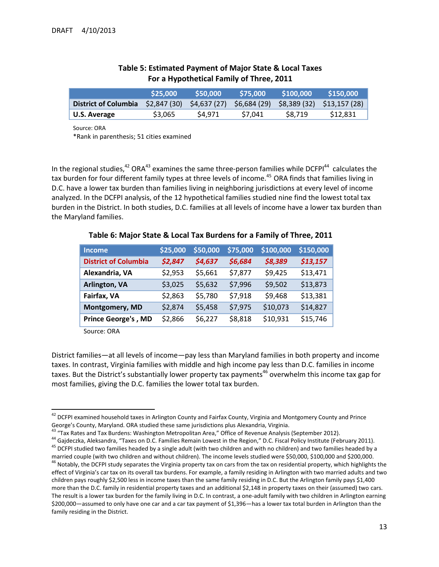|                                                                                        | \$25,000 | \$50,000 | \$75.000 | \$100,000 | \$150.000 |
|----------------------------------------------------------------------------------------|----------|----------|----------|-----------|-----------|
| District of Columbia \$2,847 (30) \$4,637 (27) \$6,684 (29) \$8,389 (32) \$13,157 (28) |          |          |          |           |           |
| U.S. Average                                                                           | \$3.065  | S4.971   | S7.041   | S8.719    | \$12,831  |

#### **Table 5: Estimated Payment of Major State & Local Taxes For a Hypothetical Family of Three, 2011**

Source: ORA

\*Rank in parenthesis; 51 cities examined

In the regional studies,<sup>42</sup> ORA<sup>43</sup> examines the same three-person families while DCFPI<sup>44</sup> calculates the tax burden for four different family types at three levels of income.<sup>45</sup> ORA finds that families living in D.C. have a lower tax burden than families living in neighboring jurisdictions at every level of income analyzed. In the DCFPI analysis, of the 12 hypothetical families studied nine find the lowest total tax burden in the District. In both studies, D.C. families at all levels of income have a lower tax burden than the Maryland families.

| <b>Income</b>               | \$25,000 | \$50,000 | \$75,000 | \$100,000 | \$150,000 |
|-----------------------------|----------|----------|----------|-----------|-----------|
| <b>District of Columbia</b> | \$2,847  | \$4,637  | \$6,684  | \$8,389   | \$13,157  |
| Alexandria, VA              | \$2,953  | \$5,661  | \$7,877  | \$9,425   | \$13,471  |
| Arlington, VA               | \$3,025  | \$5,632  | \$7,996  | \$9,502   | \$13,873  |
| Fairfax, VA                 | \$2,863  | \$5,780  | \$7,918  | \$9,468   | \$13,381  |
| Montgomery, MD              | \$2,874  | \$5,458  | \$7,975  | \$10,073  | \$14,827  |
| <b>Prince George's, MD</b>  | \$2,866  | \$6,227  | \$8,818  | \$10,931  | \$15,746  |

**Table 6: Major State & Local Tax Burdens for a Family of Three, 2011**

Source: ORA

l

District families—at all levels of income—pay less than Maryland families in both property and income taxes. In contrast, Virginia families with middle and high income pay less than D.C. families in income taxes. But the District's substantially lower property tax payments<sup>46</sup> overwhelm this income tax gap for most families, giving the D.C. families the lower total tax burden.

<sup>&</sup>lt;sup>42</sup> DCFPI examined household taxes in Arlington County and Fairfax County, Virginia and Montgomery County and Prince George's County, Maryland. ORA studied these same jurisdictions plus Alexandria, Virginia.

<sup>43 &</sup>quot;Tax Rates and Tax Burdens: Washington Metropolitan Area," Office of Revenue Analysis (September 2012).

<sup>&</sup>lt;sup>44</sup> Gajdeczka, Aleksandra, "Taxes on D.C. Families Remain Lowest in the Region," D.C. Fiscal Policy Institute (February 2011). <sup>45</sup> DCFPI studied two families headed by a single adult (with two children and with no children) and two families headed by a married couple (with two children and without children). The income levels studied were \$50,000, \$100,000 and \$200,000.

<sup>&</sup>lt;sup>46</sup> Notably, the DCFPI study separates the Virginia property tax on cars from the tax on residential property, which highlights the effect of Virginia's car tax on its overall tax burdens. For example, a family residing in Arlington with two married adults and two children pays roughly \$2,500 less in income taxes than the same family residing in D.C. But the Arlington family pays \$1,400 more than the D.C. family in residential property taxes and an additional \$2,148 in property taxes on their (assumed) two cars. The result is a lower tax burden for the family living in D.C. In contrast, a one-adult family with two children in Arlington earning \$200,000—assumed to only have one car and a car tax payment of \$1,396—has a lower tax total burden in Arlington than the family residing in the District.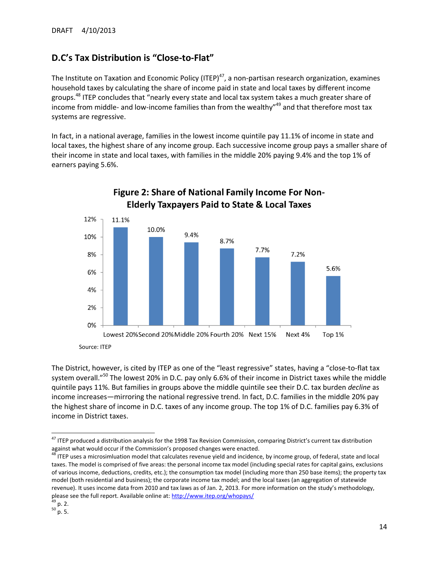# **D.C's Tax Distribution is "Close-to-Flat"**

The Institute on Taxation and Economic Policy (ITEP)<sup>47</sup>, a non-partisan research organization, examines household taxes by calculating the share of income paid in state and local taxes by different income groups.<sup>48</sup> ITEP concludes that "nearly every state and local tax system takes a much greater share of income from middle- and low-income families than from the wealthy"<sup>49</sup> and that therefore most tax systems are regressive.

In fact, in a national average, families in the lowest income quintile pay 11.1% of income in state and local taxes, the highest share of any income group. Each successive income group pays a smaller share of their income in state and local taxes, with families in the middle 20% paying 9.4% and the top 1% of earners paying 5.6%.



# Figure 2: Share of National Family Income For Non-**Elderly Taxpayers Paid to State & Local Taxes**

The District, however, is cited by ITEP as one of the "least regressive" states, having a "close-to-flat tax system overall."<sup>50</sup> The lowest 20% in D.C. pay only 6.6% of their income in District taxes while the middle quintile pays 11%. But families in groups above the middle quintile see their D.C. tax burden *decline* as income increases—mirroring the national regressive trend. In fact, D.C. families in the middle 20% pay the highest share of income in D.C. taxes of any income group. The top 1% of D.C. families pay 6.3% of income in District taxes.

<sup>48</sup> ITEP uses a microsimluation model that calculates revenue yield and incidence, by income group, of federal, state and local taxes. The model is comprised of five areas: the personal income tax model (including special rates for capital gains, exclusions of various income, deductions, credits, etc.); the consumption tax model (including more than 250 base items); the property tax model (both residential and business); the corporate income tax model; and the local taxes (an aggregation of statewide revenue). It uses income data from 2010 and tax laws as of Jan. 2, 2013. For more information on the study's methodology, please see the full report. Available online at[: http://www.itep.org/whopays/](http://www.itep.org/whopays/)

 $\overline{\phantom{a}}$ <sup>47</sup> ITEP produced a distribution analysis for the 1998 Tax Revision Commission, comparing District's current tax distribution against what would occur if the Commission's proposed changes were enacted.

 $49$  p. 2.

 $50$  p. 5.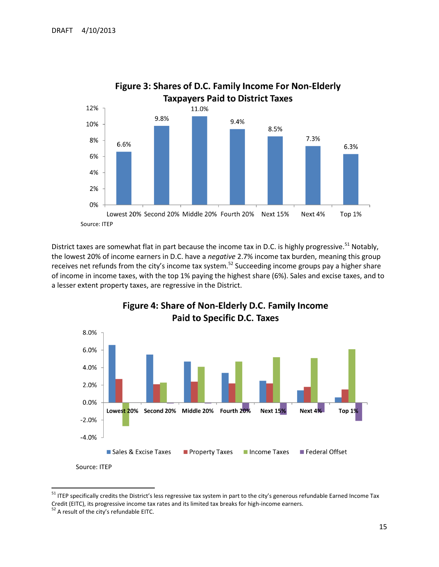

District taxes are somewhat flat in part because the income tax in D.C. is highly progressive.<sup>51</sup> Notably, the lowest 20% of income earners in D.C. have a *negative* 2.7% income tax burden, meaning this group receives net refunds from the city's income tax system.<sup>52</sup> Succeeding income groups pay a higher share of income in income taxes, with the top 1% paying the highest share (6%). Sales and excise taxes, and to a lesser extent property taxes, are regressive in the District.



Figure 4: Share of Non-Elderly D.C. Family Income **Paid to Specific D.C. Taxes** 

l

<sup>&</sup>lt;sup>51</sup> ITEP specifically credits the District's less regressive tax system in part to the city's generous refundable Earned Income Tax Credit (EITC), its progressive income tax rates and its limited tax breaks for high-income earners.

<sup>&</sup>lt;sup>52</sup> A result of the city's refundable EITC.